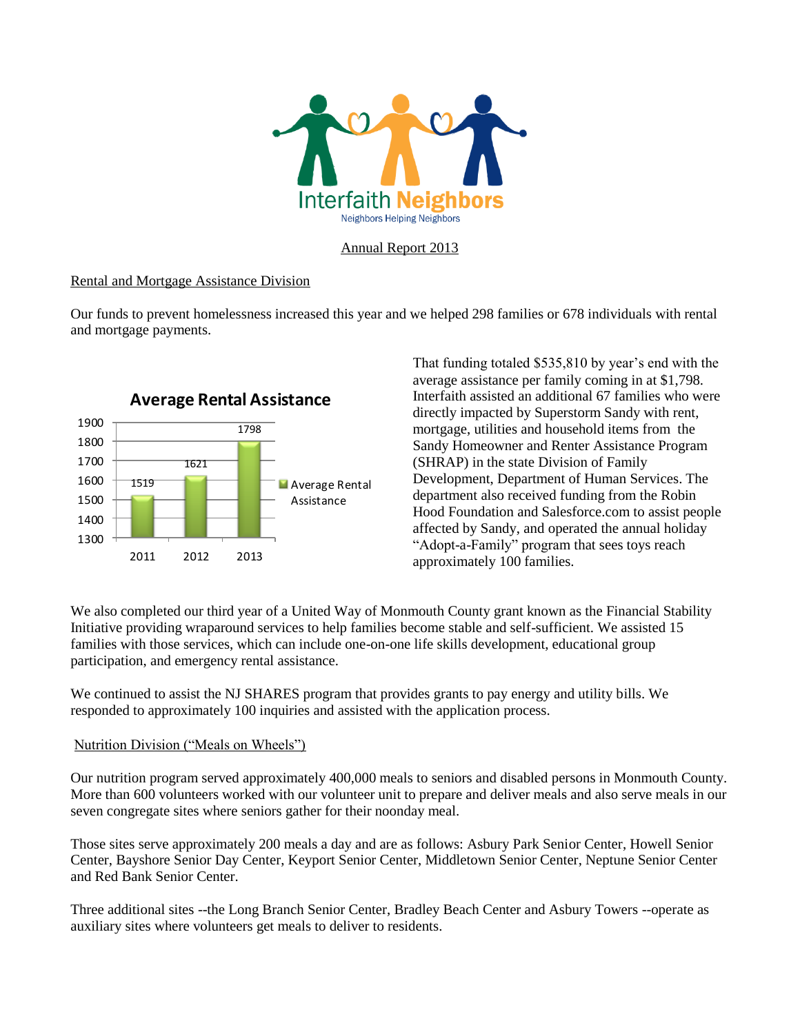

### Annual Report 2013

### Rental and Mortgage Assistance Division

Our funds to prevent homelessness increased this year and we helped 298 families or 678 individuals with rental and mortgage payments.



# **Average Rental Assistance**

That funding totaled \$535,810 by year's end with the average assistance per family coming in at \$1,798. Interfaith assisted an additional 67 families who were directly impacted by Superstorm Sandy with rent, mortgage, utilities and household items from the Sandy Homeowner and Renter Assistance Program (SHRAP) in the state Division of Family Development, Department of Human Services. The department also received funding from the Robin Hood Foundation and Salesforce.com to assist people affected by Sandy, and operated the annual holiday "Adopt-a-Family" program that sees toys reach approximately 100 families.

We also completed our third year of a United Way of Monmouth County grant known as the Financial Stability Initiative providing wraparound services to help families become stable and self-sufficient. We assisted 15 families with those services, which can include one-on-one life skills development, educational group participation, and emergency rental assistance.

We continued to assist the NJ SHARES program that provides grants to pay energy and utility bills. We responded to approximately 100 inquiries and assisted with the application process.

### Nutrition Division ("Meals on Wheels")

Our nutrition program served approximately 400,000 meals to seniors and disabled persons in Monmouth County. More than 600 volunteers worked with our volunteer unit to prepare and deliver meals and also serve meals in our seven congregate sites where seniors gather for their noonday meal.

Those sites serve approximately 200 meals a day and are as follows: Asbury Park Senior Center, Howell Senior Center, Bayshore Senior Day Center, Keyport Senior Center, Middletown Senior Center, Neptune Senior Center and Red Bank Senior Center.

Three additional sites --the Long Branch Senior Center, Bradley Beach Center and Asbury Towers --operate as auxiliary sites where volunteers get meals to deliver to residents.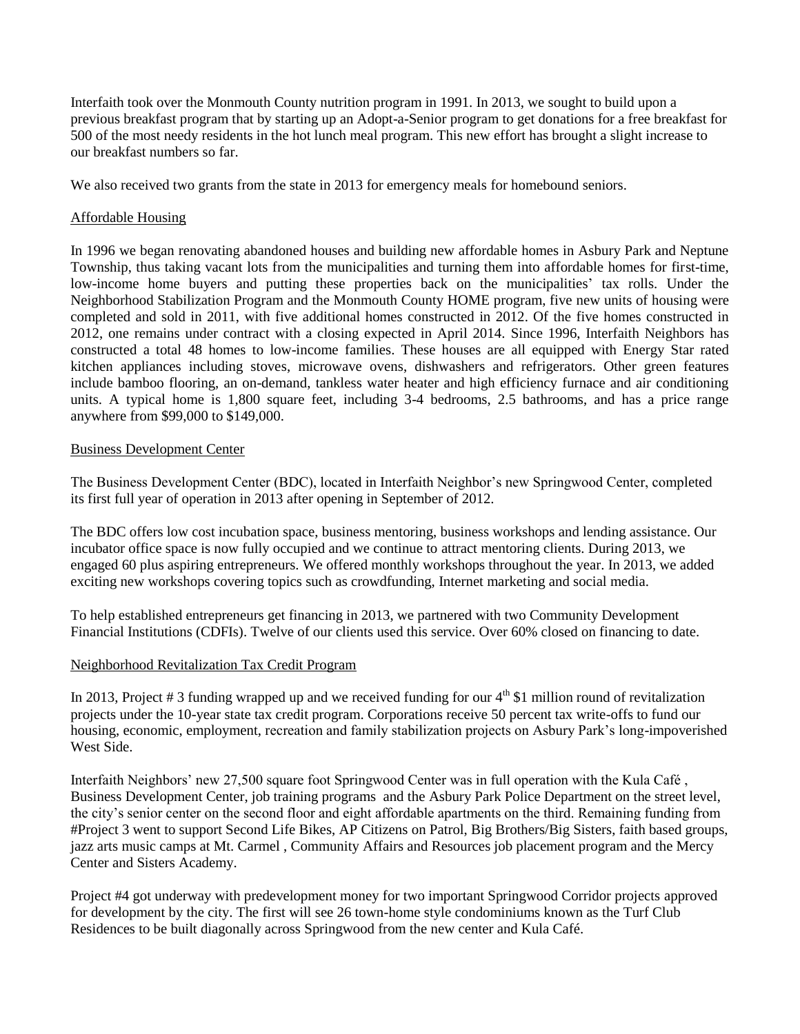Interfaith took over the Monmouth County nutrition program in 1991. In 2013, we sought to build upon a previous breakfast program that by starting up an Adopt-a-Senior program to get donations for a free breakfast for 500 of the most needy residents in the hot lunch meal program. This new effort has brought a slight increase to our breakfast numbers so far.

We also received two grants from the state in 2013 for emergency meals for homebound seniors.

### Affordable Housing

In 1996 we began renovating abandoned houses and building new affordable homes in Asbury Park and Neptune Township, thus taking vacant lots from the municipalities and turning them into affordable homes for first-time, low-income home buyers and putting these properties back on the municipalities' tax rolls. Under the Neighborhood Stabilization Program and the Monmouth County HOME program, five new units of housing were completed and sold in 2011, with five additional homes constructed in 2012. Of the five homes constructed in 2012, one remains under contract with a closing expected in April 2014. Since 1996, Interfaith Neighbors has constructed a total 48 homes to low-income families. These houses are all equipped with Energy Star rated kitchen appliances including stoves, microwave ovens, dishwashers and refrigerators. Other green features include bamboo flooring, an on-demand, tankless water heater and high efficiency furnace and air conditioning units. A typical home is 1,800 square feet, including 3-4 bedrooms, 2.5 bathrooms, and has a price range anywhere from \$99,000 to \$149,000.

### Business Development Center

The Business Development Center (BDC), located in Interfaith Neighbor's new Springwood Center, completed its first full year of operation in 2013 after opening in September of 2012.

The BDC offers low cost incubation space, business mentoring, business workshops and lending assistance. Our incubator office space is now fully occupied and we continue to attract mentoring clients. During 2013, we engaged 60 plus aspiring entrepreneurs. We offered monthly workshops throughout the year. In 2013, we added exciting new workshops covering topics such as crowdfunding, Internet marketing and social media.

To help established entrepreneurs get financing in 2013, we partnered with two Community Development Financial Institutions (CDFIs). Twelve of our clients used this service. Over 60% closed on financing to date.

#### Neighborhood Revitalization Tax Credit Program

In 2013, Project # 3 funding wrapped up and we received funding for our  $4<sup>th</sup>$  \$1 million round of revitalization projects under the 10-year state tax credit program. Corporations receive 50 percent tax write-offs to fund our housing, economic, employment, recreation and family stabilization projects on Asbury Park's long-impoverished West Side.

Interfaith Neighbors' new 27,500 square foot Springwood Center was in full operation with the Kula Café , Business Development Center, job training programs and the Asbury Park Police Department on the street level, the city's senior center on the second floor and eight affordable apartments on the third. Remaining funding from #Project 3 went to support Second Life Bikes, AP Citizens on Patrol, Big Brothers/Big Sisters, faith based groups, jazz arts music camps at Mt. Carmel , Community Affairs and Resources job placement program and the Mercy Center and Sisters Academy.

Project #4 got underway with predevelopment money for two important Springwood Corridor projects approved for development by the city. The first will see 26 town-home style condominiums known as the Turf Club Residences to be built diagonally across Springwood from the new center and Kula Café.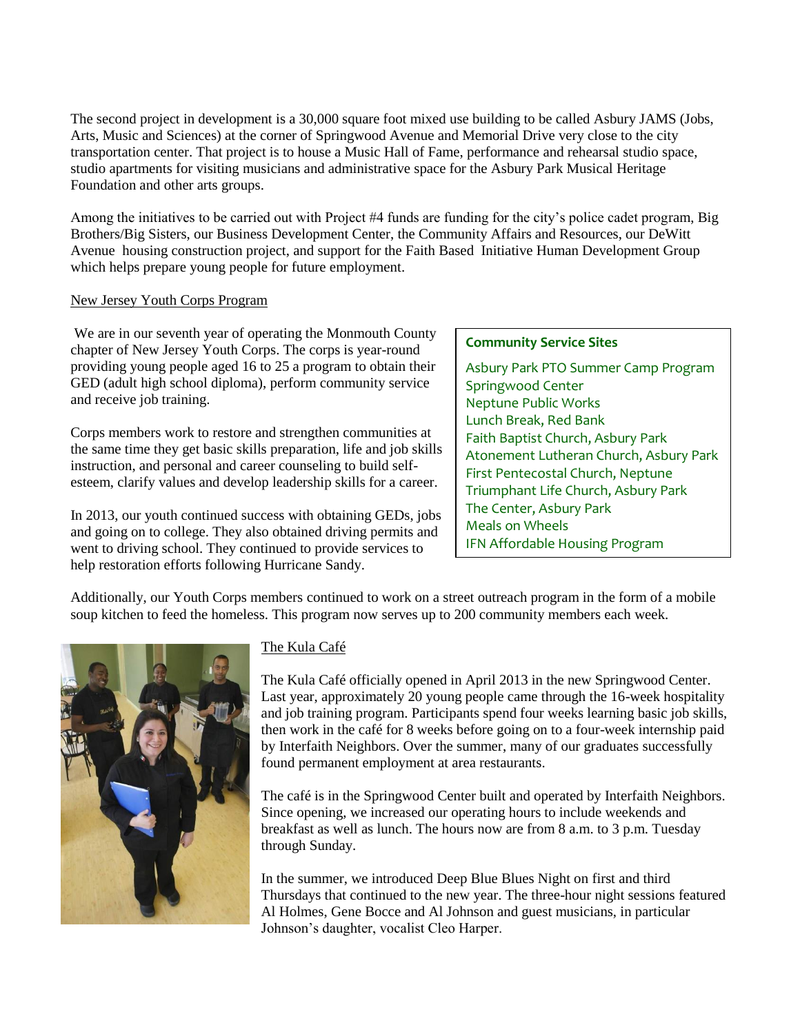The second project in development is a 30,000 square foot mixed use building to be called Asbury JAMS (Jobs, Arts, Music and Sciences) at the corner of Springwood Avenue and Memorial Drive very close to the city transportation center. That project is to house a Music Hall of Fame, performance and rehearsal studio space, studio apartments for visiting musicians and administrative space for the Asbury Park Musical Heritage Foundation and other arts groups.

Among the initiatives to be carried out with Project #4 funds are funding for the city's police cadet program, Big Brothers/Big Sisters, our Business Development Center, the Community Affairs and Resources, our DeWitt Avenue housing construction project, and support for the Faith Based Initiative Human Development Group which helps prepare young people for future employment.

# New Jersey Youth Corps Program

We are in our seventh year of operating the Monmouth County chapter of New Jersey Youth Corps. The corps is year-round providing young people aged 16 to 25 a program to obtain their GED (adult high school diploma), perform community service and receive job training.

Corps members work to restore and strengthen communities at the same time they get basic skills preparation, life and job skills instruction, and personal and career counseling to build selfesteem, clarify values and develop leadership skills for a career.

In 2013, our youth continued success with obtaining GEDs, jobs and going on to college. They also obtained driving permits and went to driving school. They continued to provide services to help restoration efforts following Hurricane Sandy.

# **Community Service Sites**

Asbury Park PTO Summer Camp Program Springwood Center Neptune Public Works Lunch Break, Red Bank Faith Baptist Church, Asbury Park Atonement Lutheran Church, Asbury Park First Pentecostal Church, Neptune Triumphant Life Church, Asbury Park The Center, Asbury Park Meals on Wheels IFN Affordable Housing Program

Additionally, our Youth Corps members continued to work on a street outreach program in the form of a mobile soup kitchen to feed the homeless. This program now serves up to 200 community members each week.



# The Kula Café

The Kula Café officially opened in April 2013 in the new Springwood Center. Last year, approximately 20 young people came through the 16-week hospitality and job training program. Participants spend four weeks learning basic job skills, then work in the café for 8 weeks before going on to a four-week internship paid by Interfaith Neighbors. Over the summer, many of our graduates successfully found permanent employment at area restaurants.

The café is in the Springwood Center built and operated by Interfaith Neighbors. Since opening, we increased our operating hours to include weekends and breakfast as well as lunch. The hours now are from 8 a.m. to 3 p.m. Tuesday through Sunday.

In the summer, we introduced Deep Blue Blues Night on first and third Thursdays that continued to the new year. The three-hour night sessions featured Al Holmes, Gene Bocce and Al Johnson and guest musicians, in particular Johnson's daughter, vocalist Cleo Harper.